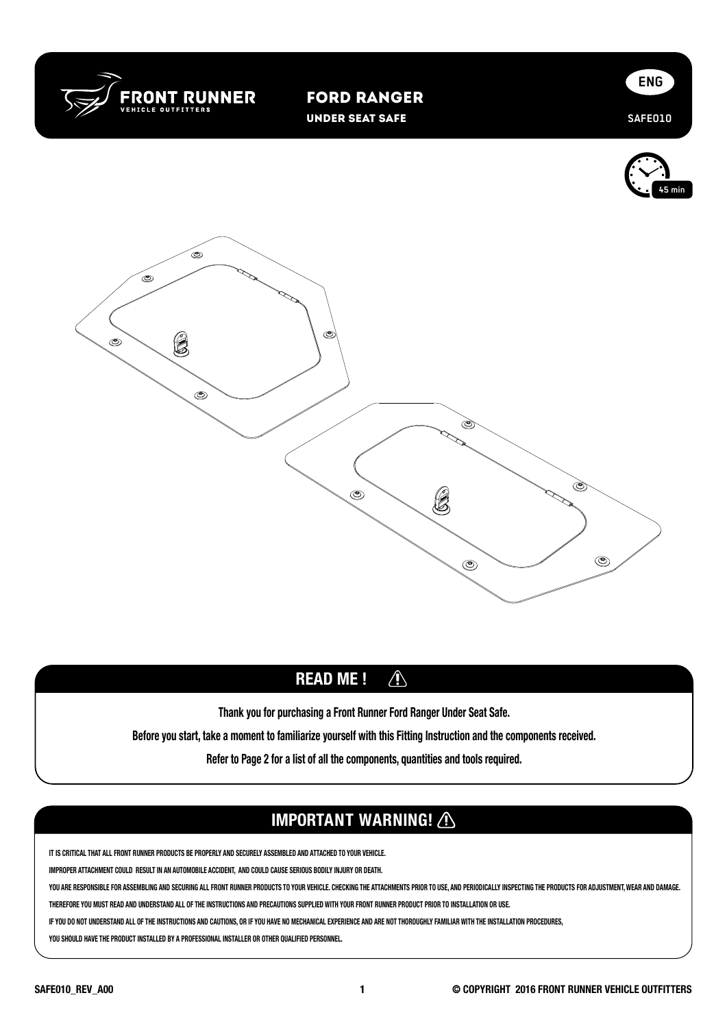

Ford Ranger Under Seat Safe







## READ ME !  $\bigwedge$

Thank you for purchasing a Front Runner Ford Ranger Under Seat Safe.

Before you start, take a moment to familiarize yourself with this Fitting Instruction and the components received.

Refer to Page 2 for a list of all the components, quantities and tools required.

## IMPORTANT WARNING! A

**IT IS CRITICAL THAT ALL FRONT RUNNER PRODUCTS BE PROPERLY AND SECURELY ASSEMBLED AND ATTACHED TO YOUR VEHICLE.** 

**IMPROPER ATTACHMENT COULD RESULT IN AN AUTOMOBILE ACCIDENT, AND COULD CAUSE SERIOUS BODILY INJURY OR DEATH.** 

YOU ARE RESPONSIBLE FOR ASSEMBLING AND SECURING ALL FRONT RUNNER PRODUCTS TO YOUR VEHICLE. CHECKING THE ATTACHMENTS PRIOR TO USE, AND PERIODICALLY INSPECTING THE PRODUCTS FOR ADJUSTMENT, WEAR AND DAMAGE.

**THEREFORE YOU MUST READ AND UNDERSTAND ALL OF THE INSTRUCTIONS AND PRECAUTIONS SUPPLIED WITH YOUR FRONT RUNNER PRODUCT PRIOR TO INSTALLATION OR USE.** 

**IF YOU DO NOT UNDERSTAND ALL OF THE INSTRUCTIONS AND CAUTIONS, OR IF YOU HAVE NO MECHANICAL EXPERIENCE AND ARE NOT THOROUGHLY FAMILIAR WITH THE INSTALLATION PROCEDURES,** 

**YOU SHOULD HAVE THE PRODUCT INSTALLED BY A PROFESSIONAL INSTALLER OR OTHER QUALIFIED PERSONNEL.**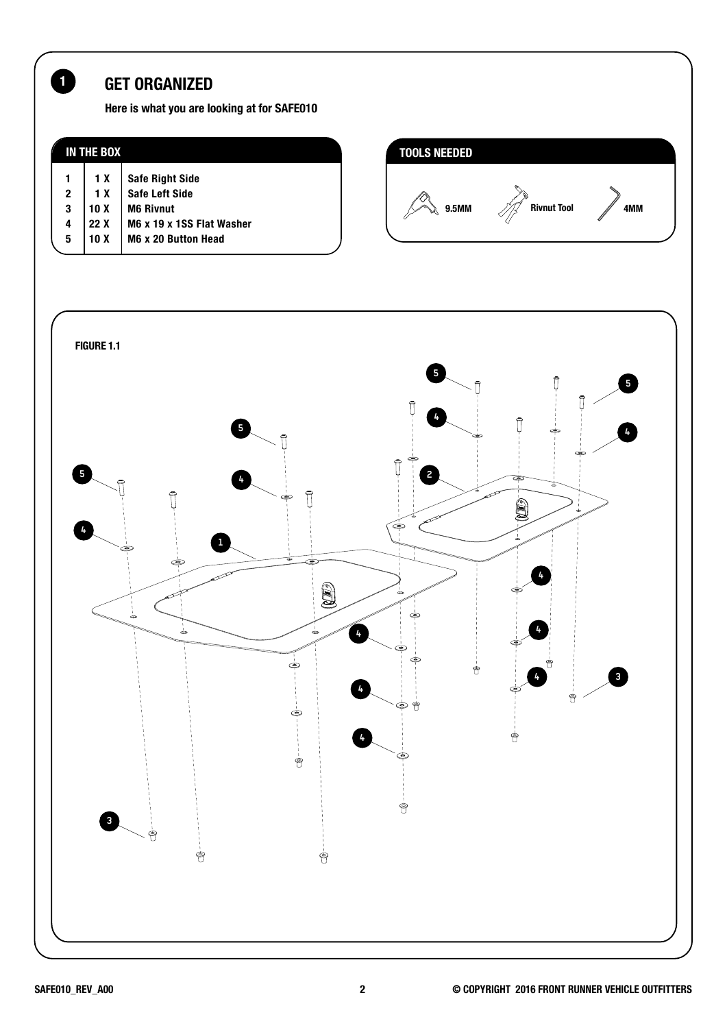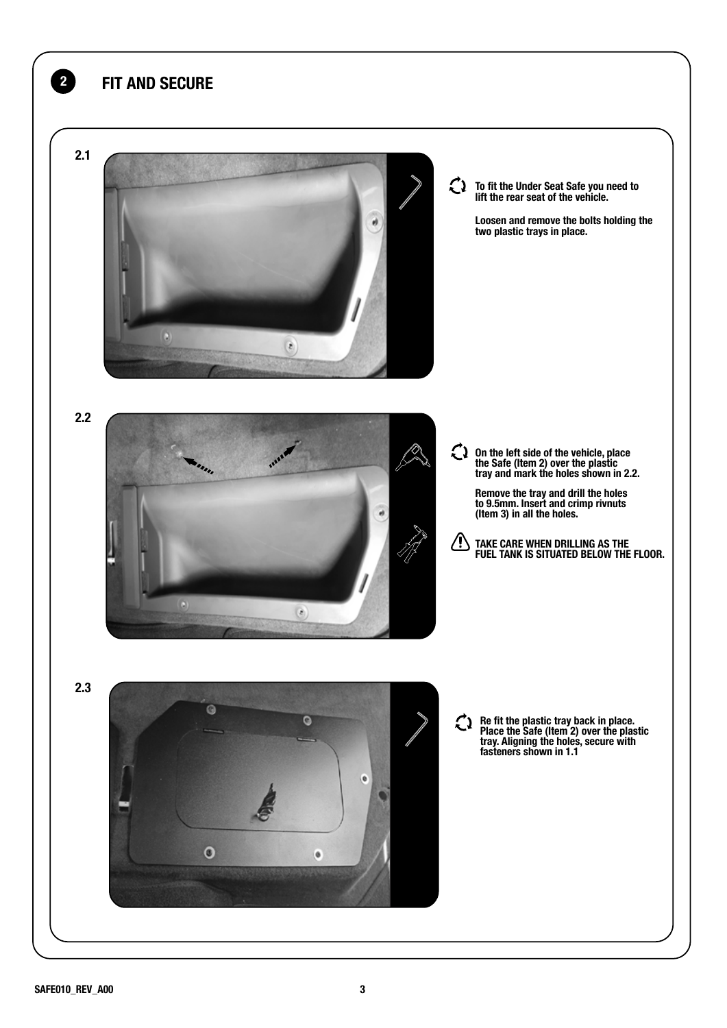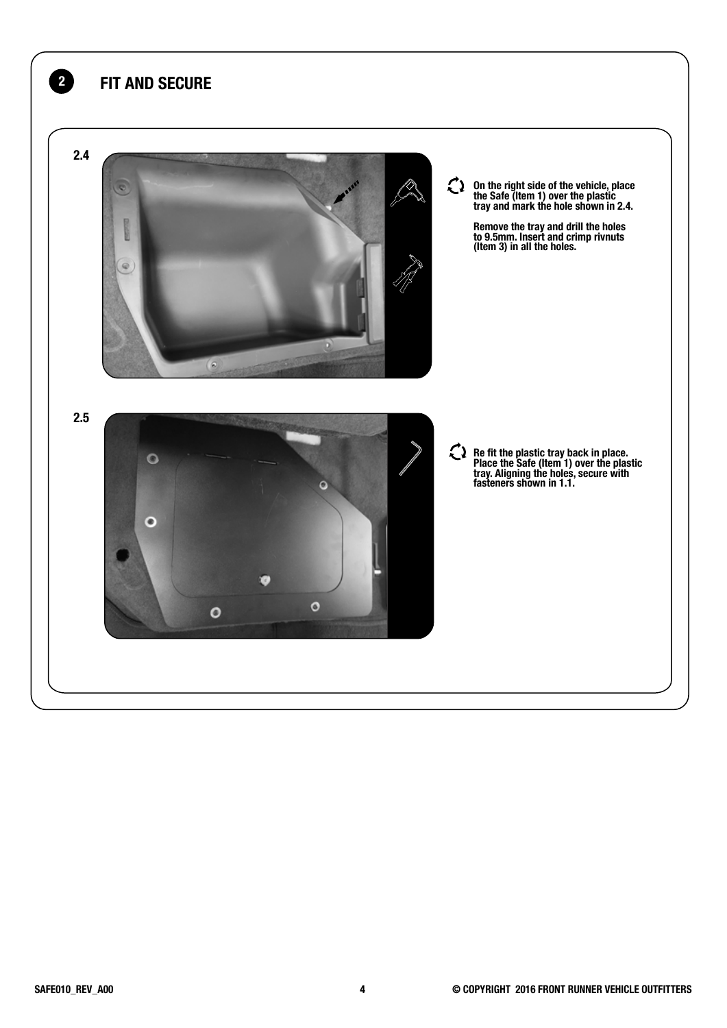